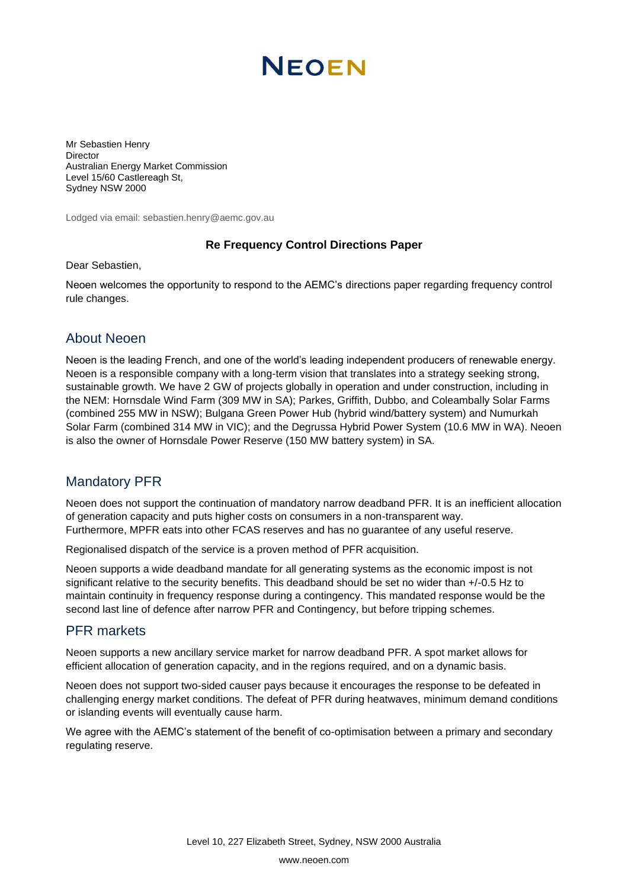# **NEOEN**

Mr Sebastien Henry Director Australian Energy Market Commission Level 15/60 Castlereagh St, Sydney NSW 2000

Lodged via email: sebastien.henry@aemc.gov.au

#### **Re Frequency Control Directions Paper**

Dear Sebastien,

Neoen welcomes the opportunity to respond to the AEMC's directions paper regarding frequency control rule changes.

### About Neoen

Neoen is the leading French, and one of the world's leading independent producers of renewable energy. Neoen is a responsible company with a long-term vision that translates into a strategy seeking strong, sustainable growth. We have 2 GW of projects globally in operation and under construction, including in the NEM: Hornsdale Wind Farm (309 MW in SA); Parkes, Griffith, Dubbo, and Coleambally Solar Farms (combined 255 MW in NSW); Bulgana Green Power Hub (hybrid wind/battery system) and Numurkah Solar Farm (combined 314 MW in VIC); and the Degrussa Hybrid Power System (10.6 MW in WA). Neoen is also the owner of Hornsdale Power Reserve (150 MW battery system) in SA.

## Mandatory PFR

Neoen does not support the continuation of mandatory narrow deadband PFR. It is an inefficient allocation of generation capacity and puts higher costs on consumers in a non-transparent way. Furthermore, MPFR eats into other FCAS reserves and has no guarantee of any useful reserve.

Regionalised dispatch of the service is a proven method of PFR acquisition.

Neoen supports a wide deadband mandate for all generating systems as the economic impost is not significant relative to the security benefits. This deadband should be set no wider than  $+/-0.5$  Hz to maintain continuity in frequency response during a contingency. This mandated response would be the second last line of defence after narrow PFR and Contingency, but before tripping schemes.

#### PFR markets

Neoen supports a new ancillary service market for narrow deadband PFR. A spot market allows for efficient allocation of generation capacity, and in the regions required, and on a dynamic basis.

Neoen does not support two-sided causer pays because it encourages the response to be defeated in challenging energy market conditions. The defeat of PFR during heatwaves, minimum demand conditions or islanding events will eventually cause harm.

We agree with the AEMC's statement of the benefit of co-optimisation between a primary and secondary regulating reserve.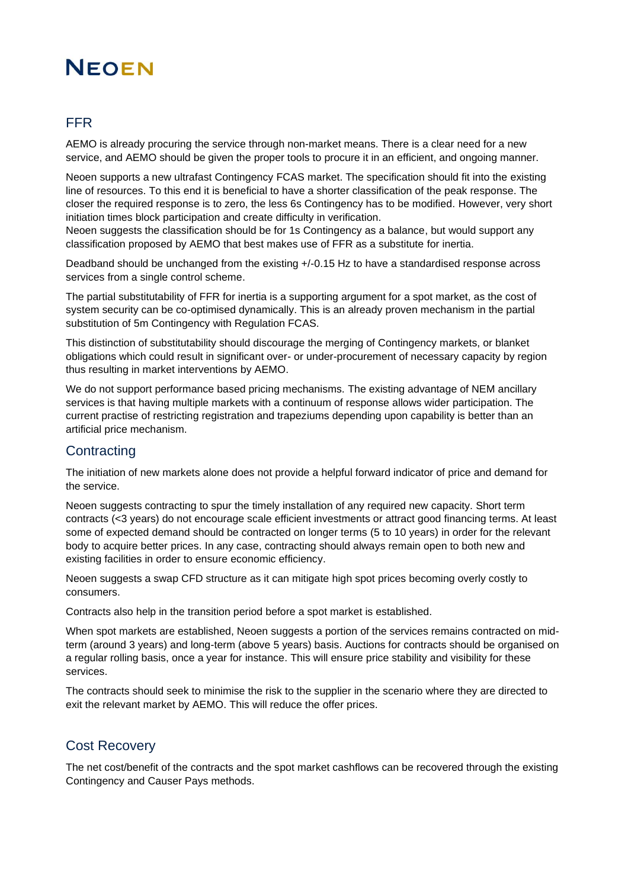## **NEOEN**

## FFR

AEMO is already procuring the service through non-market means. There is a clear need for a new service, and AEMO should be given the proper tools to procure it in an efficient, and ongoing manner.

Neoen supports a new ultrafast Contingency FCAS market. The specification should fit into the existing line of resources. To this end it is beneficial to have a shorter classification of the peak response. The closer the required response is to zero, the less 6s Contingency has to be modified. However, very short initiation times block participation and create difficulty in verification.

Neoen suggests the classification should be for 1s Contingency as a balance, but would support any classification proposed by AEMO that best makes use of FFR as a substitute for inertia.

Deadband should be unchanged from the existing +/-0.15 Hz to have a standardised response across services from a single control scheme.

The partial substitutability of FFR for inertia is a supporting argument for a spot market, as the cost of system security can be co-optimised dynamically. This is an already proven mechanism in the partial substitution of 5m Contingency with Regulation FCAS.

This distinction of substitutability should discourage the merging of Contingency markets, or blanket obligations which could result in significant over- or under-procurement of necessary capacity by region thus resulting in market interventions by AEMO.

We do not support performance based pricing mechanisms. The existing advantage of NEM ancillary services is that having multiple markets with a continuum of response allows wider participation. The current practise of restricting registration and trapeziums depending upon capability is better than an artificial price mechanism.

## **Contracting**

The initiation of new markets alone does not provide a helpful forward indicator of price and demand for the service.

Neoen suggests contracting to spur the timely installation of any required new capacity. Short term contracts (<3 years) do not encourage scale efficient investments or attract good financing terms. At least some of expected demand should be contracted on longer terms (5 to 10 years) in order for the relevant body to acquire better prices. In any case, contracting should always remain open to both new and existing facilities in order to ensure economic efficiency.

Neoen suggests a swap CFD structure as it can mitigate high spot prices becoming overly costly to consumers.

Contracts also help in the transition period before a spot market is established.

When spot markets are established, Neoen suggests a portion of the services remains contracted on midterm (around 3 years) and long-term (above 5 years) basis. Auctions for contracts should be organised on a regular rolling basis, once a year for instance. This will ensure price stability and visibility for these services.

The contracts should seek to minimise the risk to the supplier in the scenario where they are directed to exit the relevant market by AEMO. This will reduce the offer prices.

### Cost Recovery

The net cost/benefit of the contracts and the spot market cashflows can be recovered through the existing Contingency and Causer Pays methods.